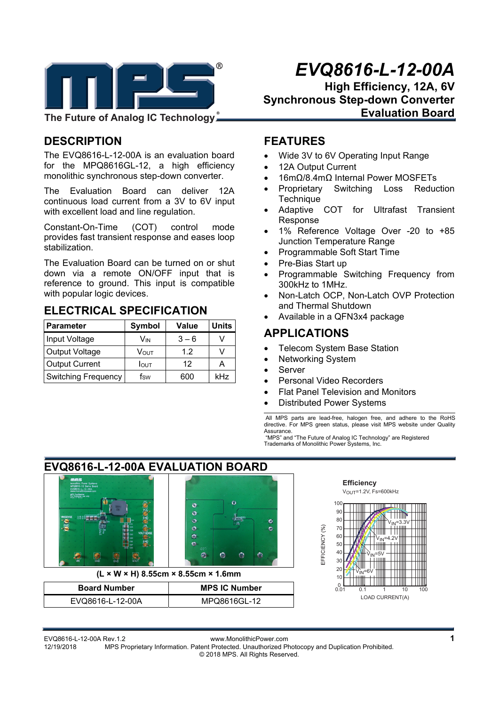

**The Future of Analog IC Technology**

# **DESCRIPTION**

The EVQ8616-L-12-00A is an evaluation board for the MPQ8616GL-12, a high efficiency monolithic synchronous step-down converter.

The Evaluation Board can deliver 12A continuous load current from a 3V to 6V input with excellent load and line regulation.

Constant-On-Time (COT) control mode provides fast transient response and eases loop stabilization.

The Evaluation Board can be turned on or shut down via a remote ON/OFF input that is reference to ground. This input is compatible with popular logic devices.

## **ELECTRICAL SPECIFICATION**

| Parameter                  | <b>Symbol</b>    | <b>Value</b> | <b>Units</b> |
|----------------------------|------------------|--------------|--------------|
| Input Voltage              | Vin              | $3 - 6$      |              |
| Output Voltage             | Vout             | 12           | \ /          |
| <b>Output Current</b>      | $I_{\text{OUT}}$ | 12           |              |
| <b>Switching Frequency</b> | fsw              | 600          | kHz          |

# *EVQ8616-L-12-00A*

**High Efficiency, 12A, 6V Synchronous Step-down Converter Evaluation Board** 

#### **FEATURES**

- Wide 3V to 6V Operating Input Range
- 12A Output Current
- 16mΩ/8.4mΩ Internal Power MOSFETs
- Proprietary Switching Loss Reduction **Technique**
- Adaptive COT for Ultrafast Transient Response
- 1% Reference Voltage Over -20 to +85 Junction Temperature Range
- Programmable Soft Start Time
- Pre-Bias Start up
- Programmable Switching Frequency from 300kHz to 1MHz.
- Non-Latch OCP, Non-Latch OVP Protection and Thermal Shutdown
- Available in a QFN3x4 package

## **APPLICATIONS**

- Telecom System Base Station
- Networking System
- Server
- Personal Video Recorders
- Flat Panel Television and Monitors
- Distributed Power Systems

 All MPS parts are lead-free, halogen free, and adhere to the RoHS directive. For MPS green status, please visit MPS website under Quality Assurance.

 "MPS" and "The Future of Analog IC Technology" are Registered Trademarks of Monolithic Power Systems, Inc.

# **EVQ8616-L-12-00A EVALUATION BOARD**



VIN=6V **(L × W × H) 8.55cm × 8.55cm × 1.6mm** 

| <b>Board Number</b> | <b>MPS IC Number</b> |  |  |
|---------------------|----------------------|--|--|
| EVQ8616-L-12-00A    | MPQ8616GL-12         |  |  |



EVQ8616-L-12-00A Rev.1.2 www.MonolithicPower.com **1** MPS Proprietary Information. Patent Protected. Unauthorized Photocopy and Duplication Prohibited. © 2018 MPS. All Rights Reserved.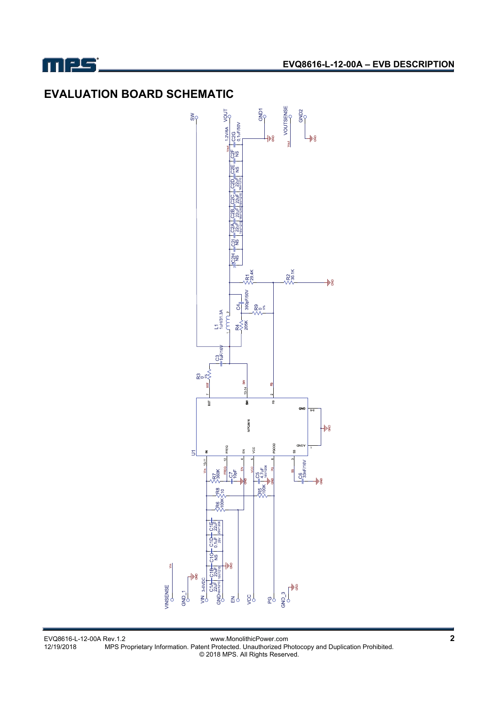

# **EVALUATION BOARD SCHEMATIC**



EVQ8616-L-12-00A Rev.1.2 www.MonolithicPower.com **2** 12/19/2018 MPS Proprietary Information. Patent Protected. Unauthorized Photocopy and Duplication Prohibited. © 2018 MPS. All Rights Reserved.

VINSENSE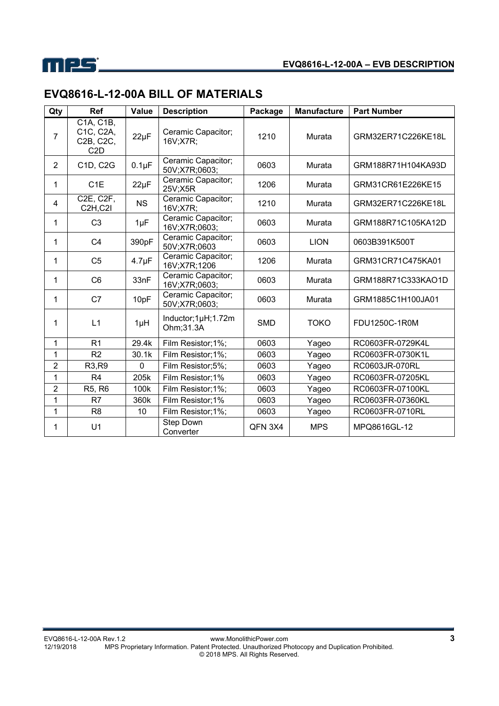

# **EVQ8616-L-12-00A BILL OF MATERIALS**

| Qty                     | Ref                                                                               | <b>Value</b> | <b>Description</b>                  | Package    | <b>Manufacture</b> | <b>Part Number</b> |
|-------------------------|-----------------------------------------------------------------------------------|--------------|-------------------------------------|------------|--------------------|--------------------|
| $\overline{7}$          | C <sub>1</sub> A, C <sub>1</sub> B,<br>C1C, C2A,<br>C2B, C2C,<br>C <sub>2</sub> D | $22\mu F$    | Ceramic Capacitor;<br>16V;X7R;      | 1210       | Murata             | GRM32ER71C226KE18L |
| 2                       | C1D, C2G                                                                          | $0.1\mu F$   | Ceramic Capacitor;<br>50V;X7R;0603; | 0603       | Murata             | GRM188R71H104KA93D |
| 1                       | C <sub>1</sub> E                                                                  | $22\mu F$    | Ceramic Capacitor;<br>25V;X5R       | 1206       | Murata             | GRM31CR61E226KE15  |
| $\overline{\mathbf{4}}$ | C2E, C2F,<br>C <sub>2</sub> H <sub>,C<sub>2</sub>I</sub>                          | <b>NS</b>    | Ceramic Capacitor;<br>16V;X7R;      | 1210       | Murata             | GRM32ER71C226KE18L |
| 1                       | C <sub>3</sub>                                                                    | $1\mu F$     | Ceramic Capacitor;<br>16V;X7R;0603; | 0603       | Murata             | GRM188R71C105KA12D |
| 1                       | C <sub>4</sub>                                                                    | 390pF        | Ceramic Capacitor;<br>50V;X7R;0603  | 0603       | <b>LION</b>        | 0603B391K500T      |
| 1                       | C <sub>5</sub>                                                                    | $4.7 \mu F$  | Ceramic Capacitor;<br>16V;X7R;1206  | 1206       | Murata             | GRM31CR71C475KA01  |
| 1                       | C <sub>6</sub>                                                                    | 33nF         | Ceramic Capacitor;<br>16V;X7R;0603; | 0603       | Murata             | GRM188R71C333KAO1D |
| 1                       | C7                                                                                | 10pF         | Ceramic Capacitor;<br>50V;X7R;0603; | 0603       | Murata             | GRM1885C1H100JA01  |
| 1                       | L1                                                                                | $1\muH$      | Inductor;1µH;1.72m<br>Ohm;31.3A     | <b>SMD</b> | <b>TOKO</b>        | FDU1250C-1R0M      |
| 1                       | R <sub>1</sub>                                                                    | 29.4k        | Film Resistor; 1%;                  | 0603       | Yageo              | RC0603FR-0729K4L   |
| 1                       | R <sub>2</sub>                                                                    | 30.1k        | Film Resistor; 1%;                  | 0603       | Yageo              | RC0603FR-0730K1L   |
| $\overline{2}$          | R3,R9                                                                             | $\mathbf 0$  | Film Resistor;5%;                   | 0603       | Yageo              | RC0603JR-070RL     |
| 1                       | R <sub>4</sub>                                                                    | 205k         | Film Resistor;1%                    | 0603       | Yageo              | RC0603FR-07205KL   |
| $\overline{2}$          | R5, R6                                                                            | 100k         | Film Resistor;1%;                   | 0603       | Yageo              | RC0603FR-07100KL   |
| 1                       | R7                                                                                | 360k         | Film Resistor;1%                    | 0603       | Yageo              | RC0603FR-07360KL   |
| 1                       | R <sub>8</sub>                                                                    | 10           | Film Resistor; 1%;                  | 0603       | Yageo              | RC0603FR-0710RL    |
| 1                       | U1                                                                                |              | Step Down<br>Converter              | QFN 3X4    | <b>MPS</b>         | MPQ8616GL-12       |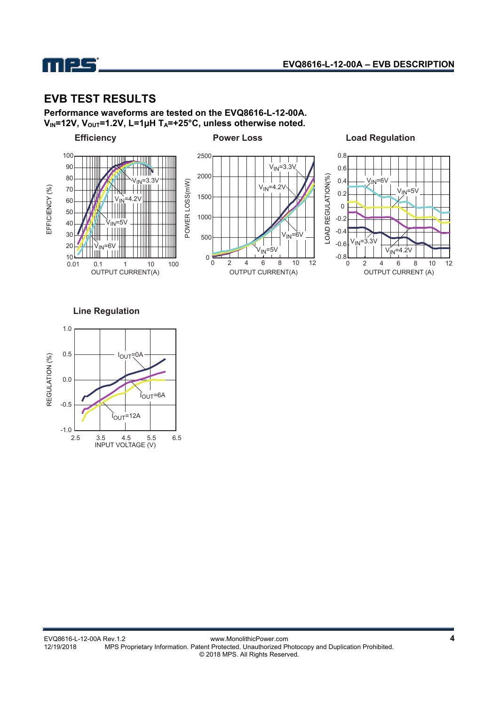

## **EVB TEST RESULTS**

**Performance waveforms are tested on the EVQ8616-L-12-00A.**  V<sub>IN</sub>=12V, V<sub>OUT</sub>=1.2V, L=1µH T<sub>A</sub>=+25°C, unless otherwise noted.



**Line Regulation**

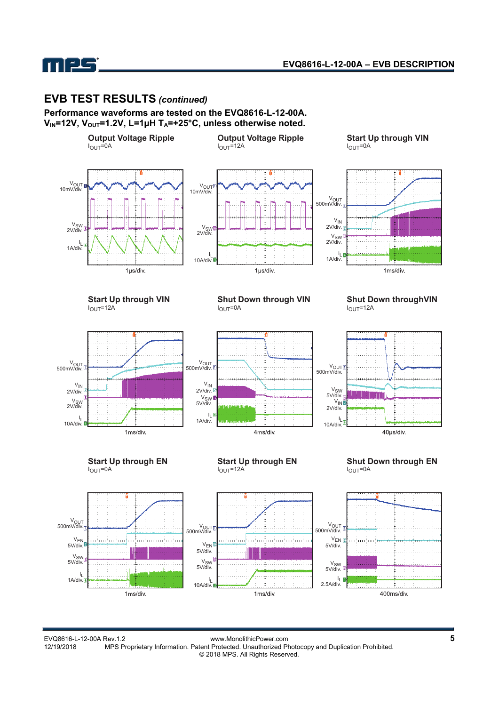

#### **EVB TEST RESULTS** *(continued)*

**Performance waveforms are tested on the EVQ8616-L-12-00A.**  V<sub>IN</sub>=12V, V<sub>OUT</sub>=1.2V, L=1µH T<sub>A</sub>=+25°C, unless otherwise noted.



MPS Proprietary Information. Patent Protected. Unauthorized Photocopy and Duplication Prohibited.

© 2018 MPS. All Rights Reserved.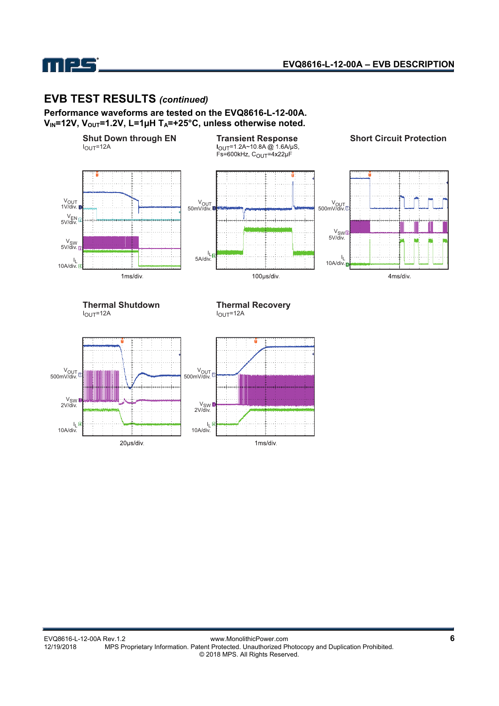# **EVB TEST RESULTS** *(continued)*

mes

**Performance waveforms are tested on the EVQ8616-L-12-00A.**  V<sub>IN</sub>=12V, V<sub>OUT</sub>=1.2V, L=1µH T<sub>A</sub>=+25°C, unless otherwise noted.



1ms/div.

20µs/div.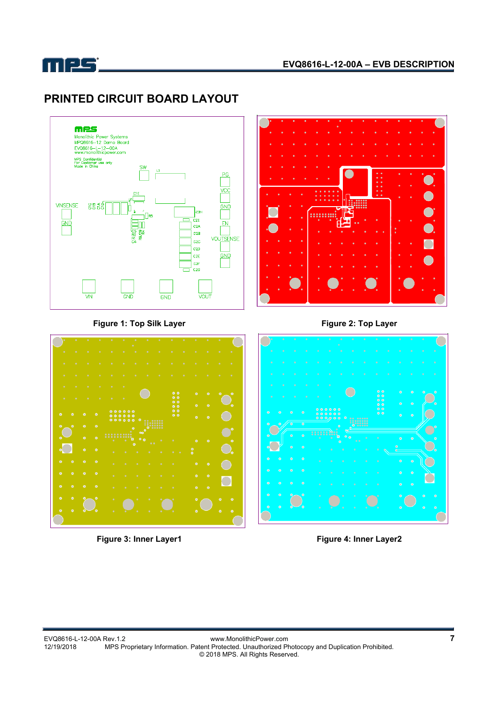

# **PRINTED CIRCUIT BOARD LAYOUT**







#### Figure 1: Top Silk Layer **Figure 2: Top Layer** Figure 2: Top Layer



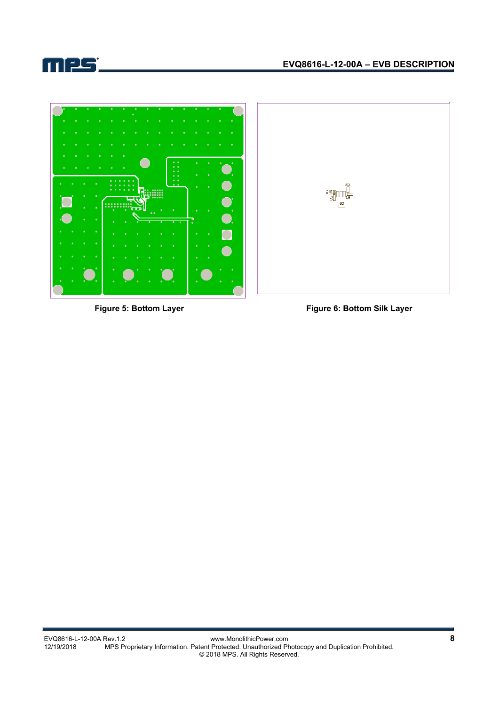



Figure 5: Bottom Layer **Figure 6: Bottom Silk Layer**